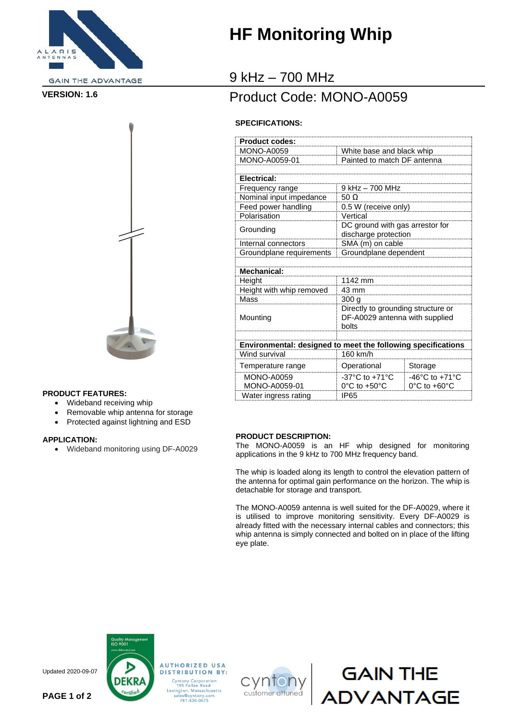

**GAIN THE ADVANTAGE** 



#### **PRODUCT FEATURES:**

- Wideband receiving whip
- Removable whip antenna for storage
- Protected against lightning and ESD

#### **APPLICATION:**

• Wideband monitoring using DF-A0029

# **HF Monitoring Whip**

### 9 kHz – 700 MHz

### Product Code: MONO-A0059 **VERSION: 1.6**

#### **SPECIFICATIONS:**

| <b>Product codes:</b>    |                                                                               |                                    |
|--------------------------|-------------------------------------------------------------------------------|------------------------------------|
| <b>MONO-A0059</b>        | White base and black whip                                                     |                                    |
| MONO-A0059-01            | Painted to match DF antenna                                                   |                                    |
|                          |                                                                               |                                    |
| Electrical:              |                                                                               |                                    |
| Frequency range          | 9 kHz - 700 MHz                                                               |                                    |
| Nominal input impedance  | 50 $\Omega$                                                                   |                                    |
| Feed power handling      | 0.5 W (receive only)                                                          |                                    |
| Polarisation             | Vertical                                                                      |                                    |
| Grounding                | DC ground with gas arrestor for<br>discharge protection                       |                                    |
| Internal connectors      | SMA (m) on cable                                                              |                                    |
| Groundplane requirements | Groundplane dependent                                                         |                                    |
|                          |                                                                               |                                    |
| Mechanical:              |                                                                               |                                    |
| Height                   | 1142 mm                                                                       |                                    |
| Height with whip removed | 43 mm                                                                         |                                    |
| Mass                     | 300q                                                                          |                                    |
| Mounting                 | Directly to grounding structure or<br>DF-A0029 antenna with supplied<br>bolts |                                    |
|                          |                                                                               |                                    |
|                          | Environmental: designed to meet the following specifications                  |                                    |
| Wind survival            | 160 km/h                                                                      |                                    |
| Temperature range        | Operational                                                                   | Storage                            |
| <b>MONO-A0059</b>        | $-37^{\circ}$ C to $+71^{\circ}$ C                                            | $-46^{\circ}$ C to $+71^{\circ}$ C |
| MONO-A0059-01            | $0^{\circ}$ C to +50 $^{\circ}$ C                                             | 0°C to +60°C                       |
| Water ingress rating     | IP <sub>65</sub>                                                              |                                    |

#### **PRODUCT DESCRIPTION:**

The MONO-A0059 is an HF whip designed for monitoring applications in the 9 kHz to 700 MHz frequency band.

The whip is loaded along its length to control the elevation pattern of the antenna for optimal gain performance on the horizon. The whip is detachable for storage and transport.

The MONO-A0059 antenna is well suited for the DF-A0029, where it is utilised to improve monitoring sensitivity. Every DF-A0029 is already fitted with the necessary internal cables and connectors; this whip antenna is simply connected and bolted on in place of the lifting eye plate.

GAIN THE<br>DVANTAGE



Updated 2020-09-07

**PAGE 1 of 2**

Cyntony Corporation<br>195 Follen Road<br>Lexington, Massachusetts<br>sales@cyntony.com<br>781-430-0675

**AUTHORIZED USA**